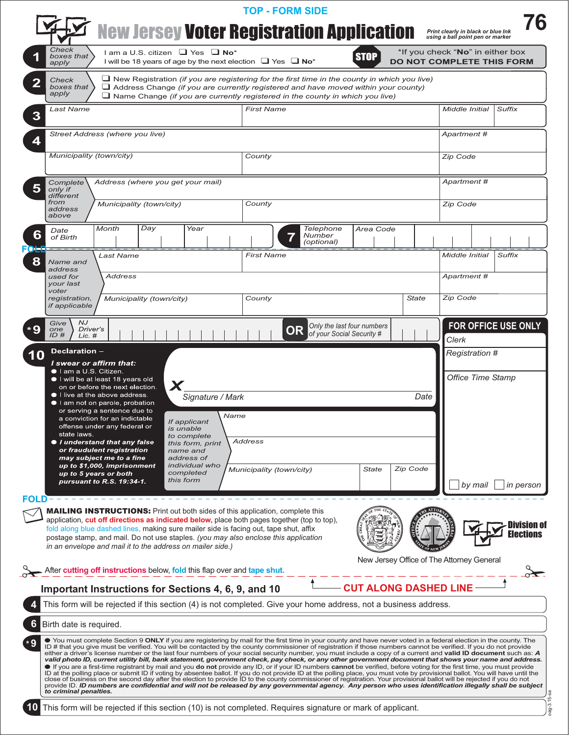|                                                                                                                                                                                                                                                                                                                                                                                                                                                                                                                                                                                                                                                                                                                                                                                                                                                                                      | <b>TOP - FORM SIDE</b>                                                                                                                                                                                                                                                                          |                                           |                                                                             |
|--------------------------------------------------------------------------------------------------------------------------------------------------------------------------------------------------------------------------------------------------------------------------------------------------------------------------------------------------------------------------------------------------------------------------------------------------------------------------------------------------------------------------------------------------------------------------------------------------------------------------------------------------------------------------------------------------------------------------------------------------------------------------------------------------------------------------------------------------------------------------------------|-------------------------------------------------------------------------------------------------------------------------------------------------------------------------------------------------------------------------------------------------------------------------------------------------|-------------------------------------------|-----------------------------------------------------------------------------|
| <b>New Jersey Voter Registration Application</b>                                                                                                                                                                                                                                                                                                                                                                                                                                                                                                                                                                                                                                                                                                                                                                                                                                     |                                                                                                                                                                                                                                                                                                 |                                           | 6<br>Print clearly in black or blue Ink<br>using a ball point pen or marker |
| Check<br>$I$ am a U.S. citizen $\Box$ Yes $\Box$ No <sup>*</sup><br>boxes that<br>I will be 18 years of age by the next election T Yes T No*<br>apply                                                                                                                                                                                                                                                                                                                                                                                                                                                                                                                                                                                                                                                                                                                                |                                                                                                                                                                                                                                                                                                 | <b>STOP</b>                               | *If you check "No" in either box<br><b>DO NOT COMPLETE THIS FORM</b>        |
| Check<br>boxes that<br>apply                                                                                                                                                                                                                                                                                                                                                                                                                                                                                                                                                                                                                                                                                                                                                                                                                                                         | $\Box$ New Registration <i>(if you are registering for the first time in the county in which you live)</i><br>$\Box$ Address Change (if you are currently registered and have moved within your county)<br>$\Box$ Name Change (if you are currently registered in the county in which you live) |                                           |                                                                             |
| <b>Last Name</b><br>3                                                                                                                                                                                                                                                                                                                                                                                                                                                                                                                                                                                                                                                                                                                                                                                                                                                                | <b>First Name</b>                                                                                                                                                                                                                                                                               |                                           | Middle Initial<br><b>Suffix</b>                                             |
| Street Address (where you live)<br>4                                                                                                                                                                                                                                                                                                                                                                                                                                                                                                                                                                                                                                                                                                                                                                                                                                                 |                                                                                                                                                                                                                                                                                                 |                                           | Apartment #                                                                 |
| Municipality (town/city)                                                                                                                                                                                                                                                                                                                                                                                                                                                                                                                                                                                                                                                                                                                                                                                                                                                             | County                                                                                                                                                                                                                                                                                          |                                           | Zip Code                                                                    |
| Address (where you get your mail)<br>Complete<br>only if                                                                                                                                                                                                                                                                                                                                                                                                                                                                                                                                                                                                                                                                                                                                                                                                                             |                                                                                                                                                                                                                                                                                                 |                                           | Apartment #                                                                 |
| different<br>from<br>Municipality (town/city)<br>address<br>above                                                                                                                                                                                                                                                                                                                                                                                                                                                                                                                                                                                                                                                                                                                                                                                                                    | County                                                                                                                                                                                                                                                                                          |                                           | Zip Code                                                                    |
| Day<br>Year<br>Month<br>Date<br>6<br>of Birth                                                                                                                                                                                                                                                                                                                                                                                                                                                                                                                                                                                                                                                                                                                                                                                                                                        | Telephone<br>Number<br>(optional)                                                                                                                                                                                                                                                               | Area Code                                 |                                                                             |
| FOEI<br>Last Name<br>Name and                                                                                                                                                                                                                                                                                                                                                                                                                                                                                                                                                                                                                                                                                                                                                                                                                                                        | <b>First Name</b>                                                                                                                                                                                                                                                                               |                                           | Middle Initial<br><b>Suffix</b>                                             |
| address<br>used for<br>Address<br>your last                                                                                                                                                                                                                                                                                                                                                                                                                                                                                                                                                                                                                                                                                                                                                                                                                                          |                                                                                                                                                                                                                                                                                                 |                                           | Apartment #                                                                 |
| voter<br>registration,<br>Municipality (town/city)<br>if applicable                                                                                                                                                                                                                                                                                                                                                                                                                                                                                                                                                                                                                                                                                                                                                                                                                  | County                                                                                                                                                                                                                                                                                          | <b>State</b>                              | Zip Code                                                                    |
| NJ<br>Give<br>Driver's<br>one<br>ID#<br>Lic. $#$                                                                                                                                                                                                                                                                                                                                                                                                                                                                                                                                                                                                                                                                                                                                                                                                                                     | Only the last four numbers<br><b>OR</b><br>of your Social Security #                                                                                                                                                                                                                            |                                           | FOR OFFICE USE ONLY<br>Clerk                                                |
| Declaration-<br>10                                                                                                                                                                                                                                                                                                                                                                                                                                                                                                                                                                                                                                                                                                                                                                                                                                                                   |                                                                                                                                                                                                                                                                                                 |                                           | Registration #                                                              |
| I swear or affirm that:<br>I am a U.S. Citizen.<br>I will be at least 18 years old                                                                                                                                                                                                                                                                                                                                                                                                                                                                                                                                                                                                                                                                                                                                                                                                   |                                                                                                                                                                                                                                                                                                 |                                           | Office Time Stamp                                                           |
| on or before the next election.<br>I live at the above address.<br>Signature / Mark                                                                                                                                                                                                                                                                                                                                                                                                                                                                                                                                                                                                                                                                                                                                                                                                  |                                                                                                                                                                                                                                                                                                 | Date                                      |                                                                             |
| I am not on parole, probation<br>or serving a sentence due to<br>a conviction for an indictable                                                                                                                                                                                                                                                                                                                                                                                                                                                                                                                                                                                                                                                                                                                                                                                      | Name                                                                                                                                                                                                                                                                                            |                                           |                                                                             |
| If applicant<br>offense under any federal or<br>is unable<br>state laws.<br>to complete                                                                                                                                                                                                                                                                                                                                                                                                                                                                                                                                                                                                                                                                                                                                                                                              |                                                                                                                                                                                                                                                                                                 |                                           |                                                                             |
| I understand that any false<br>this form, print<br>or fraudulent registration<br>name and<br>may subject me to a fine<br>address of                                                                                                                                                                                                                                                                                                                                                                                                                                                                                                                                                                                                                                                                                                                                                  | Address                                                                                                                                                                                                                                                                                         |                                           |                                                                             |
| up to \$1,000, imprisonment<br>individual who<br>completed<br>up to 5 years or both                                                                                                                                                                                                                                                                                                                                                                                                                                                                                                                                                                                                                                                                                                                                                                                                  | Municipality (town/city)                                                                                                                                                                                                                                                                        | <b>State</b><br>Zip Code                  |                                                                             |
| this form<br>pursuant to R.S. 19:34-1.                                                                                                                                                                                                                                                                                                                                                                                                                                                                                                                                                                                                                                                                                                                                                                                                                                               |                                                                                                                                                                                                                                                                                                 |                                           | by mail<br>in person                                                        |
| FOLD<br><b>MAILING INSTRUCTIONS:</b> Print out both sides of this application, complete this                                                                                                                                                                                                                                                                                                                                                                                                                                                                                                                                                                                                                                                                                                                                                                                         |                                                                                                                                                                                                                                                                                                 |                                           |                                                                             |
| application, cut off directions as indicated below, place both pages together (top to top),<br>fold along blue dashed lines, making sure mailer side is facing out, tape shut, affix<br>postage stamp, and mail. Do not use staples. (you may also enclose this application                                                                                                                                                                                                                                                                                                                                                                                                                                                                                                                                                                                                          |                                                                                                                                                                                                                                                                                                 |                                           |                                                                             |
| in an envelope and mail it to the address on mailer side.)                                                                                                                                                                                                                                                                                                                                                                                                                                                                                                                                                                                                                                                                                                                                                                                                                           |                                                                                                                                                                                                                                                                                                 | New Jersey Office of The Attorney General |                                                                             |
| After cutting off instructions below, fold this flap over and tape shut.                                                                                                                                                                                                                                                                                                                                                                                                                                                                                                                                                                                                                                                                                                                                                                                                             |                                                                                                                                                                                                                                                                                                 |                                           |                                                                             |
| Important Instructions for Sections 4, 6, 9, and 10                                                                                                                                                                                                                                                                                                                                                                                                                                                                                                                                                                                                                                                                                                                                                                                                                                  |                                                                                                                                                                                                                                                                                                 | <b>CUT ALONG DASHED LINE</b>              |                                                                             |
| This form will be rejected if this section (4) is not completed. Give your home address, not a business address.                                                                                                                                                                                                                                                                                                                                                                                                                                                                                                                                                                                                                                                                                                                                                                     |                                                                                                                                                                                                                                                                                                 |                                           |                                                                             |
| Birth date is required.                                                                                                                                                                                                                                                                                                                                                                                                                                                                                                                                                                                                                                                                                                                                                                                                                                                              |                                                                                                                                                                                                                                                                                                 |                                           |                                                                             |
| ● You must complete Section 9 ONLY if you are registering by mail for the first time in your county and have never voted in a federal election in the county. The<br>ID# that you give must be verified. You will be contacted by the county commissioner of registration if those numbers cannot be verified. If you do not provide<br>either a driver's license number or the last four numbers of your social security number, you must include a copy of a current and valid ID document such as: A                                                                                                                                                                                                                                                                                                                                                                              |                                                                                                                                                                                                                                                                                                 |                                           |                                                                             |
| valid photo ID, current utility bill, bank statement, government check, pay check, or any other government document that shows your name and address.<br>If you are a first-time registrant by mail and you do not provide any ID, or if your ID numbers cannot be verified, before voting for the first time, you must provide<br>ID at the polling place or submit ID if voting by absentee ballot. If you do not provide ID at the polling place, you must vote by provisional ballot. You will have until the<br>close of business on the second day after the election to provide ID to the county commissioner of registration. Your provisional ballot will be rejected if you do not<br>provide ID. ID numbers are confidential and will not be released by any governmental agency. Any person who uses identification illegally shall be subject<br>to criminal penalties. |                                                                                                                                                                                                                                                                                                 |                                           |                                                                             |